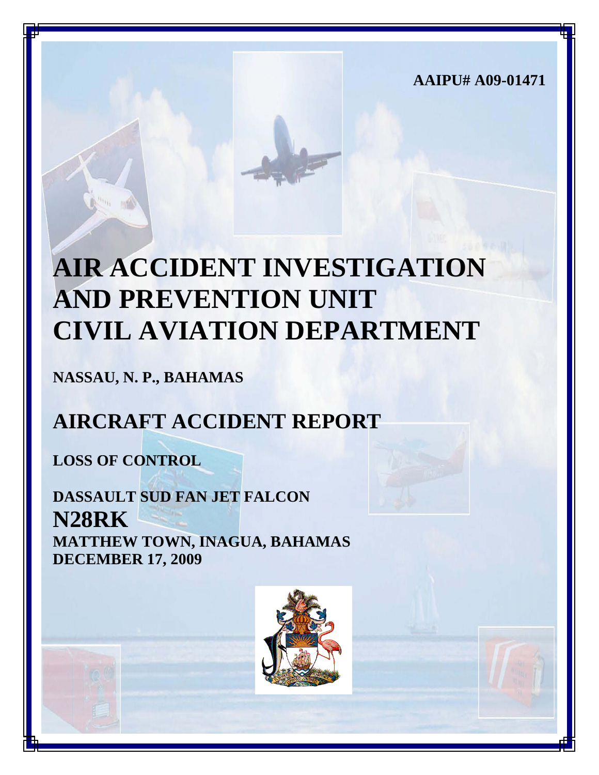**AAIPU# A09-01471**

# **AIR ACCIDENT INVESTIGATION AND PREVENTION UNIT CIVIL AVIATION DEPARTMENT**

**NASSAU, N. P., BAHAMAS**

## **AIRCRAFT ACCIDENT REPORT**

**LOSS OF CONTROL**

**DASSAULT SUD FAN JET FALCON N28RK MATTHEW TOWN, INAGUA, BAHAMAS DECEMBER 17, 2009**

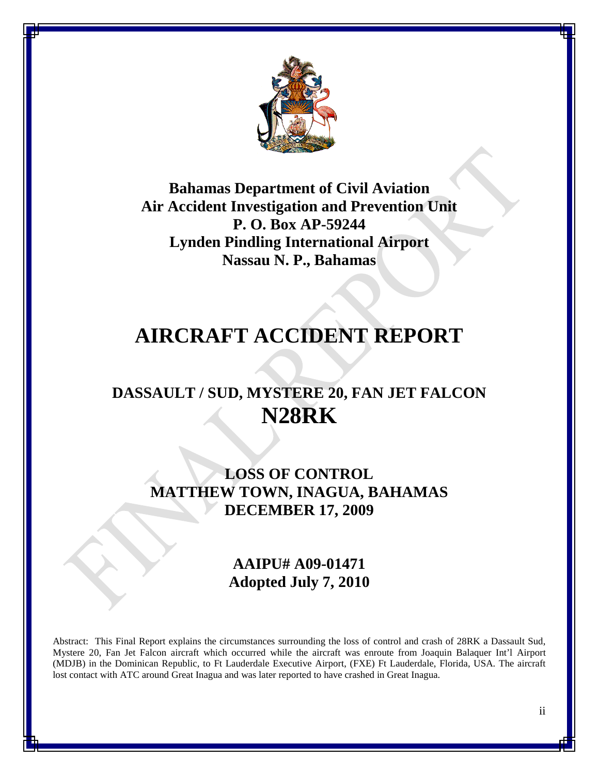

**Bahamas Department of Civil Aviation Air Accident Investigation and Prevention Unit P. O. Box AP-59244 Lynden Pindling International Airport Nassau N. P., Bahamas**

## **AIRCRAFT ACCIDENT REPORT**

## **DASSAULT / SUD, MYSTERE 20, FAN JET FALCON N28RK**

**LOSS OF CONTROL MATTHEW TOWN, INAGUA, BAHAMAS DECEMBER 17, 2009**

> **AAIPU# A09-01471 Adopted July 7, 2010**

Abstract: This Final Report explains the circumstances surrounding the loss of control and crash of 28RK a Dassault Sud, Mystere 20, Fan Jet Falcon aircraft which occurred while the aircraft was enroute from Joaquin Balaquer Int'l Airport (MDJB) in the Dominican Republic, to Ft Lauderdale Executive Airport, (FXE) Ft Lauderdale, Florida, USA. The aircraft lost contact with ATC around Great Inagua and was later reported to have crashed in Great Inagua.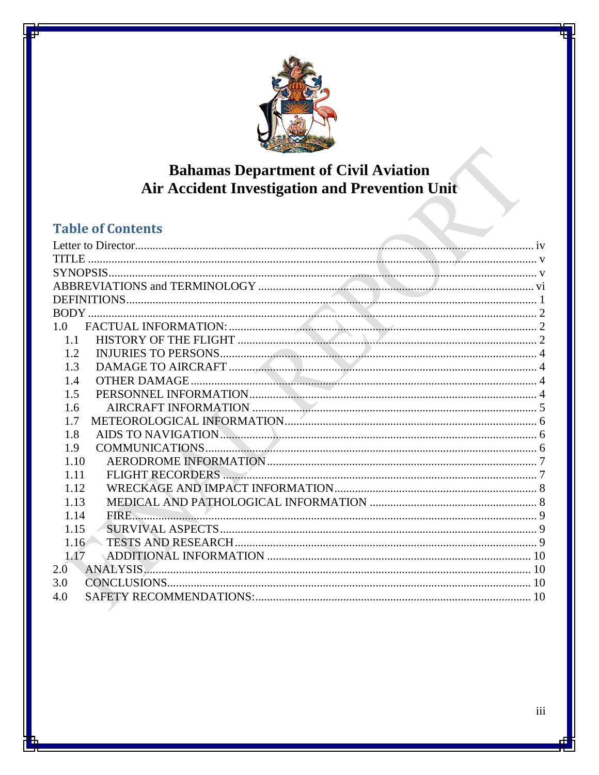

## **Bahamas Department of Civil Aviation** Air Accident Investigation and Prevention Unit

## **Table of Contents**

| 1.1              |  |
|------------------|--|
| 1.2              |  |
| 1.3              |  |
| 1.4              |  |
| 1.5              |  |
| 1.6              |  |
| 1.7              |  |
| 1.8              |  |
| 1.9              |  |
| 1.10             |  |
| 1.11             |  |
| 1.12             |  |
| 1.13             |  |
| 1.14             |  |
| 1.15             |  |
|                  |  |
| 1.17             |  |
| $2.\overline{0}$ |  |
| 3.0              |  |
| 4.0              |  |
|                  |  |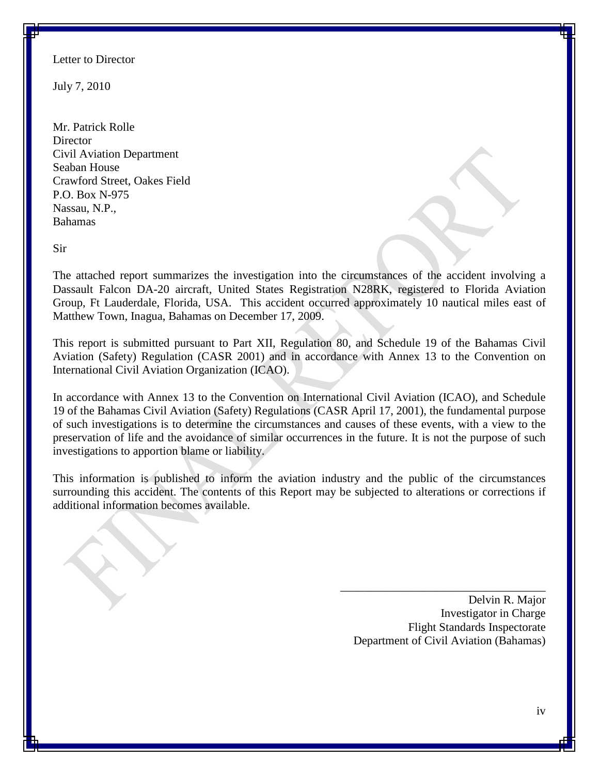<span id="page-3-0"></span>Letter to Director

July 7, 2010

Mr. Patrick Rolle **Director** Civil Aviation Department Seaban House Crawford Street, Oakes Field P.O. Box N-975 Nassau, N.P., Bahamas

Sir

The attached report summarizes the investigation into the circumstances of the accident involving a Dassault Falcon DA-20 aircraft, United States Registration N28RK, registered to Florida Aviation Group, Ft Lauderdale, Florida, USA. This accident occurred approximately 10 nautical miles east of Matthew Town, Inagua, Bahamas on December 17, 2009.

This report is submitted pursuant to Part XII, Regulation 80, and Schedule 19 of the Bahamas Civil Aviation (Safety) Regulation (CASR 2001) and in accordance with Annex 13 to the Convention on International Civil Aviation Organization (ICAO).

In accordance with Annex 13 to the Convention on International Civil Aviation (ICAO), and Schedule 19 of the Bahamas Civil Aviation (Safety) Regulations (CASR April 17, 2001), the fundamental purpose of such investigations is to determine the circumstances and causes of these events, with a view to the preservation of life and the avoidance of similar occurrences in the future. It is not the purpose of such investigations to apportion blame or liability.

This information is published to inform the aviation industry and the public of the circumstances surrounding this accident. The contents of this Report may be subjected to alterations or corrections if additional information becomes available.

> Delvin R. Major Investigator in Charge Flight Standards Inspectorate Department of Civil Aviation (Bahamas)

\_\_\_\_\_\_\_\_\_\_\_\_\_\_\_\_\_\_\_\_\_\_\_\_\_\_\_\_\_\_\_\_\_\_\_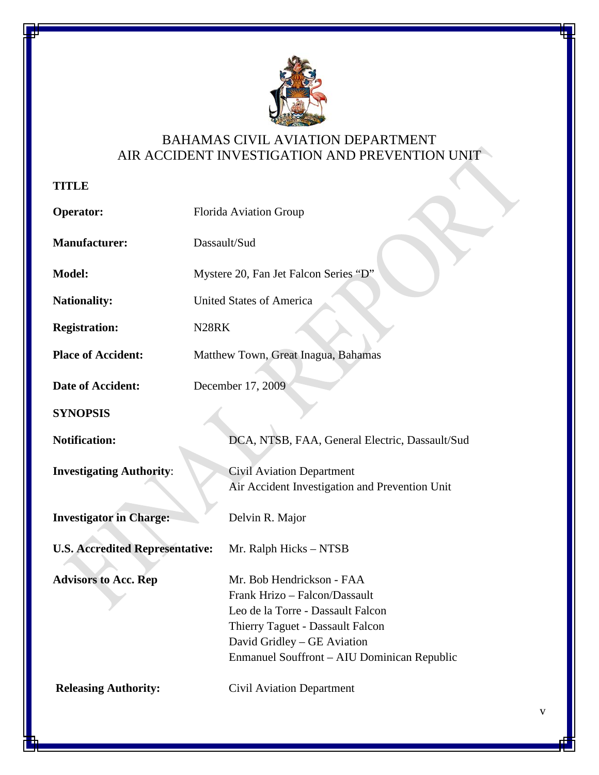

## BAHAMAS CIVIL AVIATION DEPARTMENT AIR ACCIDENT INVESTIGATION AND PREVENTION UNIT

<span id="page-4-0"></span>**TITLE**

<span id="page-4-1"></span>

| <b>Operator:</b>                       | Florida Aviation Group                                                                                                                                                                                            |  |  |  |
|----------------------------------------|-------------------------------------------------------------------------------------------------------------------------------------------------------------------------------------------------------------------|--|--|--|
| <b>Manufacturer:</b>                   | Dassault/Sud                                                                                                                                                                                                      |  |  |  |
| <b>Model:</b>                          | Mystere 20, Fan Jet Falcon Series "D"                                                                                                                                                                             |  |  |  |
| <b>Nationality:</b>                    | <b>United States of America</b>                                                                                                                                                                                   |  |  |  |
| <b>Registration:</b>                   | N <sub>28</sub> RK                                                                                                                                                                                                |  |  |  |
| <b>Place of Accident:</b>              | Matthew Town, Great Inagua, Bahamas                                                                                                                                                                               |  |  |  |
| <b>Date of Accident:</b>               | December 17, 2009                                                                                                                                                                                                 |  |  |  |
| <b>SYNOPSIS</b>                        |                                                                                                                                                                                                                   |  |  |  |
| <b>Notification:</b>                   | DCA, NTSB, FAA, General Electric, Dassault/Sud                                                                                                                                                                    |  |  |  |
| <b>Investigating Authority:</b>        | <b>Civil Aviation Department</b><br>Air Accident Investigation and Prevention Unit                                                                                                                                |  |  |  |
| <b>Investigator in Charge:</b>         | Delvin R. Major                                                                                                                                                                                                   |  |  |  |
| <b>U.S. Accredited Representative:</b> | Mr. Ralph Hicks – NTSB                                                                                                                                                                                            |  |  |  |
| <b>Advisors to Acc. Rep</b>            | Mr. Bob Hendrickson - FAA<br>Frank Hrizo - Falcon/Dassault<br>Leo de la Torre - Dassault Falcon<br>Thierry Taguet - Dassault Falcon<br>David Gridley - GE Aviation<br>Enmanuel Souffront - AIU Dominican Republic |  |  |  |
| <b>Releasing Authority:</b>            | <b>Civil Aviation Department</b>                                                                                                                                                                                  |  |  |  |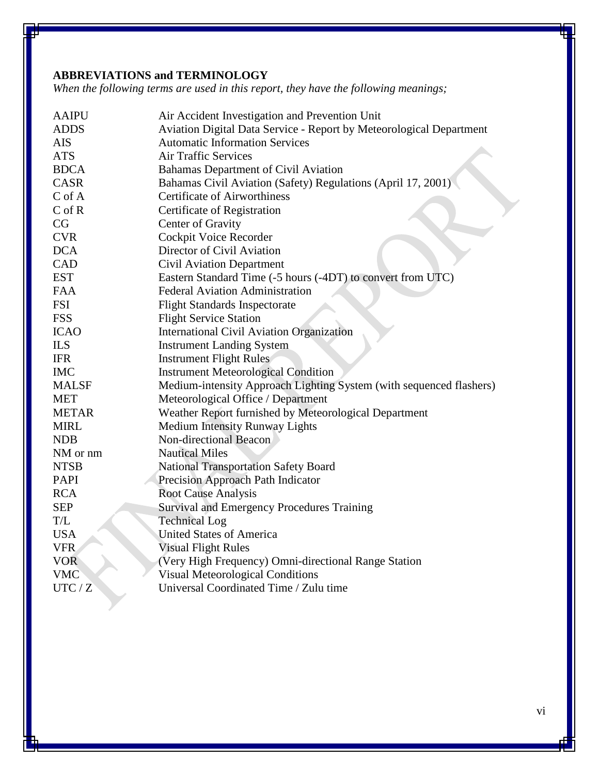### <span id="page-5-0"></span>**ABBREVIATIONS and TERMINOLOGY**

*When the following terms are used in this report, they have the following meanings;*

| <b>AAIPU</b> | Air Accident Investigation and Prevention Unit                      |  |  |  |
|--------------|---------------------------------------------------------------------|--|--|--|
| <b>ADDS</b>  | Aviation Digital Data Service - Report by Meteorological Department |  |  |  |
| <b>AIS</b>   | <b>Automatic Information Services</b>                               |  |  |  |
| <b>ATS</b>   | <b>Air Traffic Services</b>                                         |  |  |  |
| <b>BDCA</b>  | Bahamas Department of Civil Aviation                                |  |  |  |
| <b>CASR</b>  | Bahamas Civil Aviation (Safety) Regulations (April 17, 2001)        |  |  |  |
| $C$ of $A$   | <b>Certificate of Airworthiness</b>                                 |  |  |  |
| $C$ of $R$   | Certificate of Registration                                         |  |  |  |
| CG           | Center of Gravity                                                   |  |  |  |
| <b>CVR</b>   | Cockpit Voice Recorder                                              |  |  |  |
| <b>DCA</b>   | Director of Civil Aviation                                          |  |  |  |
| CAD          | <b>Civil Aviation Department</b>                                    |  |  |  |
| <b>EST</b>   | Eastern Standard Time (-5 hours (-4DT) to convert from UTC)         |  |  |  |
| <b>FAA</b>   | <b>Federal Aviation Administration</b>                              |  |  |  |
| <b>FSI</b>   | <b>Flight Standards Inspectorate</b>                                |  |  |  |
| <b>FSS</b>   | <b>Flight Service Station</b>                                       |  |  |  |
| <b>ICAO</b>  | <b>International Civil Aviation Organization</b>                    |  |  |  |
| <b>ILS</b>   | <b>Instrument Landing System</b>                                    |  |  |  |
| <b>IFR</b>   | <b>Instrument Flight Rules</b>                                      |  |  |  |
| <b>IMC</b>   | <b>Instrument Meteorological Condition</b>                          |  |  |  |
| <b>MALSF</b> | Medium-intensity Approach Lighting System (with sequenced flashers) |  |  |  |
| <b>MET</b>   | Meteorological Office / Department                                  |  |  |  |
| <b>METAR</b> | Weather Report furnished by Meteorological Department               |  |  |  |
| <b>MIRL</b>  | <b>Medium Intensity Runway Lights</b>                               |  |  |  |
| <b>NDB</b>   | Non-directional Beacon                                              |  |  |  |
| NM or nm     | <b>Nautical Miles</b>                                               |  |  |  |
| <b>NTSB</b>  | <b>National Transportation Safety Board</b>                         |  |  |  |
| PAPI         | Precision Approach Path Indicator                                   |  |  |  |
| <b>RCA</b>   | <b>Root Cause Analysis</b>                                          |  |  |  |
| <b>SEP</b>   | <b>Survival and Emergency Procedures Training</b>                   |  |  |  |
| T/L          | <b>Technical Log</b>                                                |  |  |  |
| <b>USA</b>   | <b>United States of America</b>                                     |  |  |  |
| <b>VFR</b>   | <b>Visual Flight Rules</b>                                          |  |  |  |
| <b>VOR</b>   | (Very High Frequency) Omni-directional Range Station                |  |  |  |
| <b>VMC</b>   | <b>Visual Meteorological Conditions</b>                             |  |  |  |
| UTC / Z      | Universal Coordinated Time / Zulu time                              |  |  |  |
|              |                                                                     |  |  |  |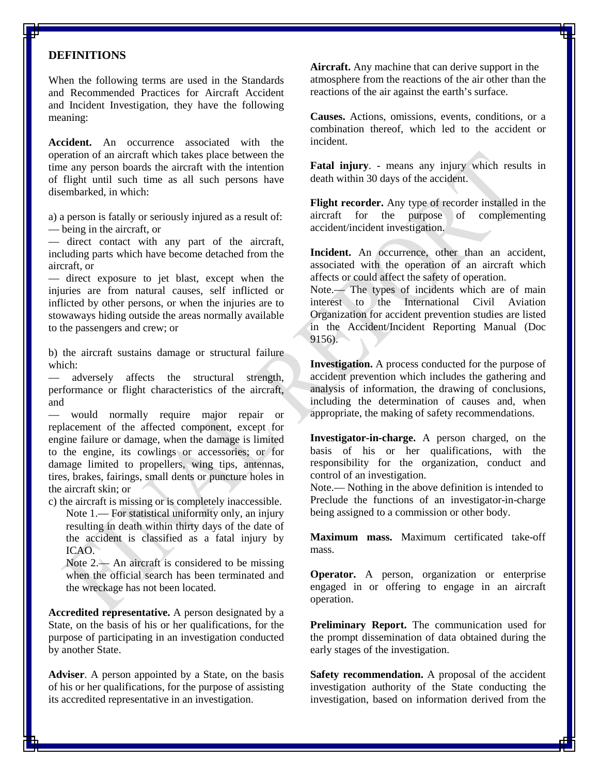#### <span id="page-6-0"></span>**DEFINITIONS**

When the following terms are used in the Standards and Recommended Practices for Aircraft Accident and Incident Investigation, they have the following meaning:

**Accident.** An occurrence associated with the operation of an aircraft which takes place between the time any person boards the aircraft with the intention of flight until such time as all such persons have disembarked, in which:

a) a person is fatally or seriously injured as a result of: — being in the aircraft, or

— direct contact with any part of the aircraft, including parts which have become detached from the aircraft, or

— direct exposure to jet blast, except when the injuries are from natural causes, self inflicted or inflicted by other persons, or when the injuries are to stowaways hiding outside the areas normally available to the passengers and crew; or

b) the aircraft sustains damage or structural failure which:

— adversely affects the structural strength, performance or flight characteristics of the aircraft, and

— would normally require major repair or replacement of the affected component, except for engine failure or damage, when the damage is limited to the engine, its cowlings or accessories; or for damage limited to propellers, wing tips, antennas, tires, brakes, fairings, small dents or puncture holes in the aircraft skin; or

c) the aircraft is missing or is completely inaccessible. Note 1.— For statistical uniformity only, an injury resulting in death within thirty days of the date of the accident is classified as a fatal injury by ICAO.

Note 2.— An aircraft is considered to be missing when the official search has been terminated and the wreckage has not been located.

**Accredited representative.** A person designated by a State, on the basis of his or her qualifications, for the purpose of participating in an investigation conducted by another State.

**Adviser**. A person appointed by a State, on the basis of his or her qualifications, for the purpose of assisting its accredited representative in an investigation.

**Aircraft.** Any machine that can derive support in the atmosphere from the reactions of the air other than the reactions of the air against the earth's surface.

**Causes.** Actions, omissions, events, conditions, or a combination thereof, which led to the accident or incident.

**Fatal injury**. - means any injury which results in death within 30 days of the accident.

**Flight recorder.** Any type of recorder installed in the aircraft for the purpose of complementing accident/incident investigation.

**Incident.** An occurrence, other than an accident, associated with the operation of an aircraft which affects or could affect the safety of operation.

Note.— The types of incidents which are of main interest to the International Civil Aviation Organization for accident prevention studies are listed in the Accident/Incident Reporting Manual (Doc 9156).

**Investigation.** A process conducted for the purpose of accident prevention which includes the gathering and analysis of information, the drawing of conclusions, including the determination of causes and, when appropriate, the making of safety recommendations.

**Investigator-in-charge.** A person charged, on the basis of his or her qualifications, with the responsibility for the organization, conduct and control of an investigation.

Note.— Nothing in the above definition is intended to Preclude the functions of an investigator-in-charge being assigned to a commission or other body.

**Maximum mass.** Maximum certificated take-off mass.

**Operator.** A person, organization or enterprise engaged in or offering to engage in an aircraft operation.

**Preliminary Report.** The communication used for the prompt dissemination of data obtained during the early stages of the investigation.

**Safety recommendation.** A proposal of the accident investigation authority of the State conducting the investigation, based on information derived from the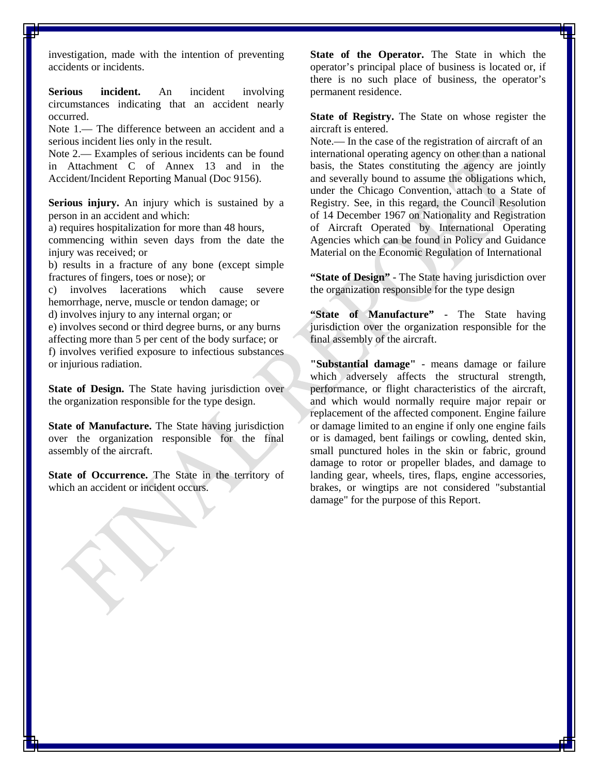investigation, made with the intention of preventing accidents or incidents.

**Serious incident.** An incident involving circumstances indicating that an accident nearly occurred.

Note 1.— The difference between an accident and a serious incident lies only in the result.

Note 2.— Examples of serious incidents can be found in Attachment C of Annex 13 and in the Accident/Incident Reporting Manual (Doc 9156).

**Serious injury.** An injury which is sustained by a person in an accident and which:

a) requires hospitalization for more than 48 hours,

commencing within seven days from the date the injury was received; or

b) results in a fracture of any bone (except simple fractures of fingers, toes or nose); or

c) involves lacerations which cause severe hemorrhage, nerve, muscle or tendon damage; or

d) involves injury to any internal organ; or

e) involves second or third degree burns, or any burns affecting more than 5 per cent of the body surface; or f) involves verified exposure to infectious substances or injurious radiation.

**State of Design.** The State having jurisdiction over the organization responsible for the type design.

**State of Manufacture.** The State having jurisdiction over the organization responsible for the final assembly of the aircraft.

**State of Occurrence.** The State in the territory of which an accident or incident occurs.

**State of the Operator.** The State in which the operator's principal place of business is located or, if there is no such place of business, the operator's permanent residence.

**State of Registry.** The State on whose register the aircraft is entered.

Note.— In the case of the registration of aircraft of an international operating agency on other than a national basis, the States constituting the agency are jointly and severally bound to assume the obligations which, under the Chicago Convention, attach to a State of Registry. See, in this regard, the Council Resolution of 14 December 1967 on Nationality and Registration of Aircraft Operated by International Operating Agencies which can be found in Policy and Guidance Material on the Economic Regulation of International

**"State of Design"** - The State having jurisdiction over the organization responsible for the type design

**"State of Manufacture"** - The State having jurisdiction over the organization responsible for the final assembly of the aircraft.

**"Substantial damage"** - means damage or failure which adversely affects the structural strength, performance, or flight characteristics of the aircraft, and which would normally require major repair or replacement of the affected component. Engine failure or damage limited to an engine if only one engine fails or is damaged, bent failings or cowling, dented skin, small punctured holes in the skin or fabric, ground damage to rotor or propeller blades, and damage to landing gear, wheels, tires, flaps, engine accessories, brakes, or wingtips are not considered "substantial damage" for the purpose of this Report.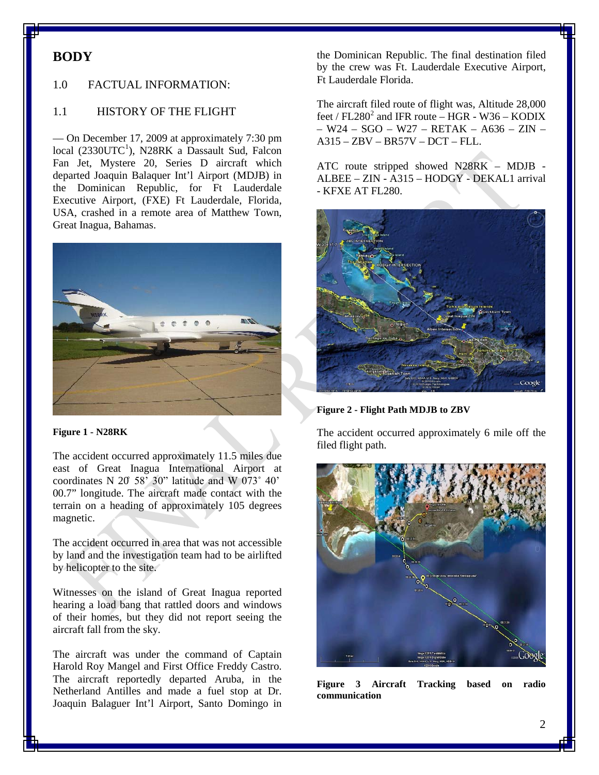### <span id="page-8-0"></span>**BODY**

#### <span id="page-8-1"></span>1.0 FACTUAL INFORMATION:

#### <span id="page-8-2"></span>1.1 HISTORY OF THE FLIGHT

— On December 17, 2009 at approximately 7:30 pm local (2330UTC<sup>[1](#page-17-0)</sup>), N28RK a Dassault Sud, Falcon Fan Jet, Mystere 20, Series D aircraft which departed Joaquin Balaquer Int'l Airport (MDJB) in the Dominican Republic, for Ft Lauderdale Executive Airport, (FXE) Ft Lauderdale, Florida, USA, crashed in a remote area of Matthew Town, Great Inagua, Bahamas.



**Figure 1 - N28RK**

The accident occurred approximately 11.5 miles due east of Great Inagua International Airport at coordinates N 20° 58' 30" latitude and W 073° 40' 00.7" longitude. The aircraft made contact with the terrain on a heading of approximately 105 degrees magnetic.

The accident occurred in area that was not accessible by land and the investigation team had to be airlifted by helicopter to the site.

Witnesses on the island of Great Inagua reported hearing a load bang that rattled doors and windows of their homes, but they did not report seeing the aircraft fall from the sky.

The aircraft was under the command of Captain Harold Roy Mangel and First Office Freddy Castro. The aircraft reportedly departed Aruba, in the Netherland Antilles and made a fuel stop at Dr. Joaquin Balaguer Int'l Airport, Santo Domingo in

the Dominican Republic. The final destination filed by the crew was Ft. Lauderdale Executive Airport, Ft Lauderdale Florida.

The aircraft filed route of flight was, Altitude 28,000 feet /  $FL280^2$  $FL280^2$  $FL280^2$  and IFR route – HGR - W36 – KODIX – W24 – SGO – W27 – RETAK – A636 – ZIN – A315 – ZBV – BR57V – DCT – FLL.

ATC route stripped showed N28RK – MDJB - ALBEE – ZIN - A315 – HODGY - DEKAL1 arrival - KFXE AT FL280.



**Figure 2 - Flight Path MDJB to ZBV** 

The accident occurred approximately 6 mile off the filed flight path.



**Figure 3 Aircraft Tracking based on radio communication**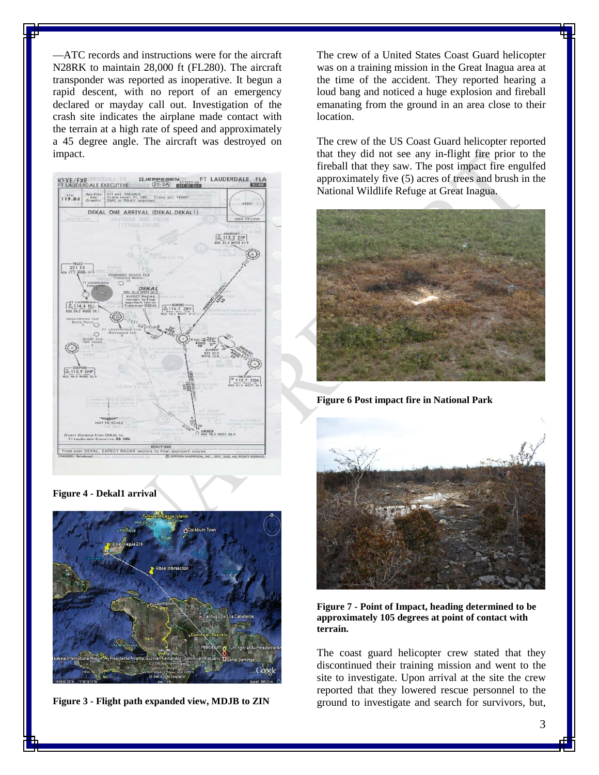—ATC records and instructions were for the aircraft N28RK to maintain 28,000 ft (FL280). The aircraft transponder was reported as inoperative. It begun a rapid descent, with no report of an emergency declared or mayday call out. Investigation of the crash site indicates the airplane made contact with the terrain at a high rate of speed and approximately a 45 degree angle. The aircraft was destroyed on impact.



**Figure 4 - Dekal1 arrival**



**Figure 3 - Flight path expanded view, MDJB to ZIN**

The crew of a United States Coast Guard helicopter was on a training mission in the Great Inagua area at the time of the accident. They reported hearing a loud bang and noticed a huge explosion and fireball emanating from the ground in an area close to their location.

The crew of the US Coast Guard helicopter reported that they did not see any in-flight fire prior to the fireball that they saw. The post impact fire engulfed approximately five (5) acres of trees and brush in the National Wildlife Refuge at Great Inagua.



**Figure 6 Post impact fire in National Park**



**Figure 7 - Point of Impact, heading determined to be approximately 105 degrees at point of contact with terrain.**

The coast guard helicopter crew stated that they discontinued their training mission and went to the site to investigate. Upon arrival at the site the crew reported that they lowered rescue personnel to the ground to investigate and search for survivors, but,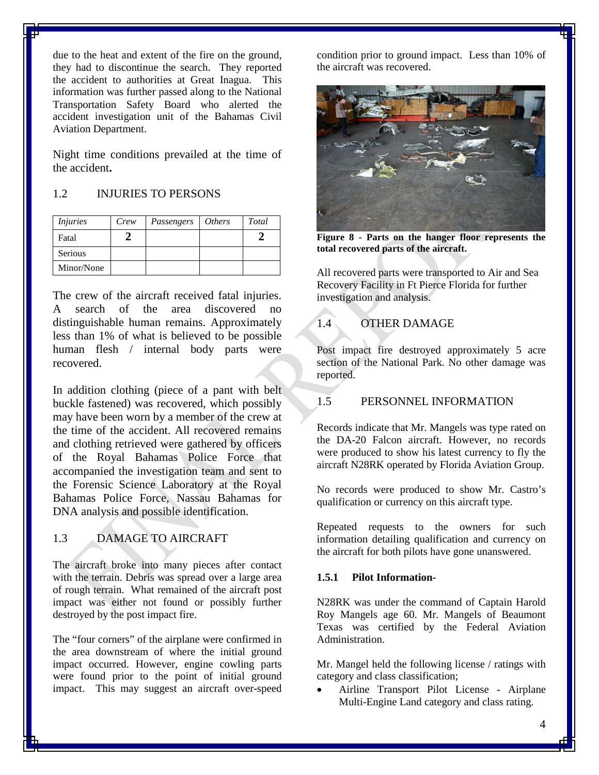due to the heat and extent of the fire on the ground, they had to discontinue the search. They reported the accident to authorities at Great Inagua. This information was further passed along to the National Transportation Safety Board who alerted the accident investigation unit of the Bahamas Civil Aviation Department.

Night time conditions prevailed at the time of the accident**.** 

#### <span id="page-10-0"></span>1.2 INJURIES TO PERSONS

| <i>Injuries</i> | Crew | Passengers | <i>Others</i> | Total |
|-----------------|------|------------|---------------|-------|
| Fatal           |      |            |               |       |
| Serious         |      |            |               |       |
| Minor/None      |      |            |               |       |

The crew of the aircraft received fatal injuries. A search of the area discovered no distinguishable human remains. Approximately less than 1% of what is believed to be possible human flesh / internal body parts were recovered.

In addition clothing (piece of a pant with belt buckle fastened) was recovered, which possibly may have been worn by a member of the crew at the time of the accident. All recovered remains and clothing retrieved were gathered by officers of the Royal Bahamas Police Force that accompanied the investigation team and sent to the Forensic Science Laboratory at the Royal Bahamas Police Force, Nassau Bahamas for DNA analysis and possible identification.

#### <span id="page-10-1"></span>1.3 DAMAGE TO AIRCRAFT

The aircraft broke into many pieces after contact with the terrain. Debris was spread over a large area of rough terrain. What remained of the aircraft post impact was either not found or possibly further destroyed by the post impact fire.

The "four corners" of the airplane were confirmed in the area downstream of where the initial ground impact occurred. However, engine cowling parts were found prior to the point of initial ground impact. This may suggest an aircraft over-speed condition prior to ground impact. Less than 10% of the aircraft was recovered.



**Figure 8 - Parts on the hanger floor represents the total recovered parts of the aircraft.**

All recovered parts were transported to Air and Sea Recovery Facility in Ft Pierce Florida for further investigation and analysis.

#### <span id="page-10-2"></span>1.4 OTHER DAMAGE

Post impact fire destroyed approximately 5 acre section of the National Park. No other damage was reported.

#### <span id="page-10-3"></span>1.5 PERSONNEL INFORMATION

Records indicate that Mr. Mangels was type rated on the DA-20 Falcon aircraft. However, no records were produced to show his latest currency to fly the aircraft N28RK operated by Florida Aviation Group.

No records were produced to show Mr. Castro's qualification or currency on this aircraft type.

Repeated requests to the owners for such information detailing qualification and currency on the aircraft for both pilots have gone unanswered.

#### **1.5.1 Pilot Information-**

N28RK was under the command of Captain Harold Roy Mangels age 60. Mr. Mangels of Beaumont Texas was certified by the Federal Aviation Administration.

Mr. Mangel held the following license / ratings with category and class classification;

• Airline Transport Pilot License - Airplane Multi-Engine Land category and class rating.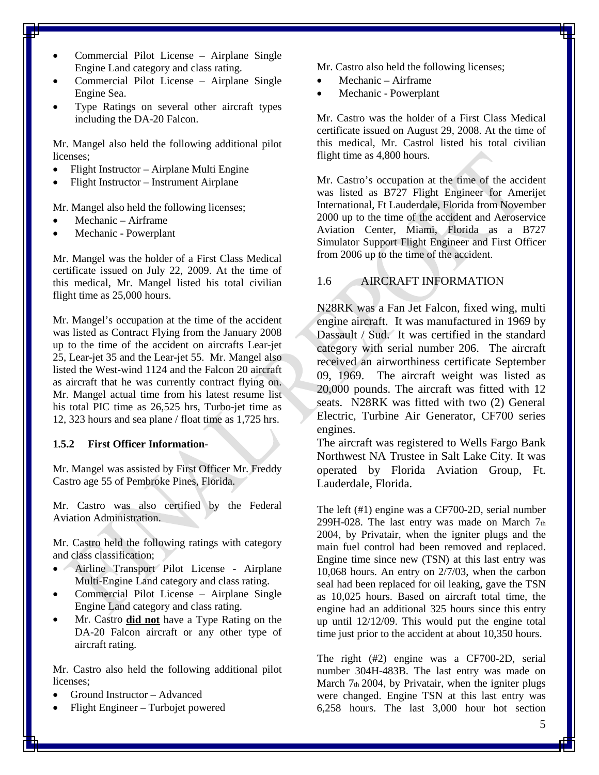- Commercial Pilot License Airplane Single Engine Land category and class rating.
- Commercial Pilot License Airplane Single Engine Sea.
- Type Ratings on several other aircraft types including the DA-20 Falcon.

Mr. Mangel also held the following additional pilot licenses;

- Flight Instructor Airplane Multi Engine
- Flight Instructor Instrument Airplane

Mr. Mangel also held the following licenses;

- Mechanic Airframe
- Mechanic Powerplant

Mr. Mangel was the holder of a First Class Medical certificate issued on July 22, 2009. At the time of this medical, Mr. Mangel listed his total civilian flight time as 25,000 hours.

Mr. Mangel's occupation at the time of the accident was listed as Contract Flying from the January 2008 up to the time of the accident on aircrafts Lear-jet 25, Lear-jet 35 and the Lear-jet 55. Mr. Mangel also listed the West-wind 1124 and the Falcon 20 aircraft as aircraft that he was currently contract flying on. Mr. Mangel actual time from his latest resume list his total PIC time as 26,525 hrs, Turbo-jet time as 12, 323 hours and sea plane / float time as 1,725 hrs.

#### **1.5.2 First Officer Information**-

Mr. Mangel was assisted by First Officer Mr. Freddy Castro age 55 of Pembroke Pines, Florida.

Mr. Castro was also certified by the Federal Aviation Administration.

Mr. Castro held the following ratings with category and class classification;

- Airline Transport Pilot License Airplane Multi-Engine Land category and class rating.
- Commercial Pilot License Airplane Single Engine Land category and class rating.
- Mr. Castro **did not** have a Type Rating on the DA-20 Falcon aircraft or any other type of aircraft rating.

Mr. Castro also held the following additional pilot licenses;

- Ground Instructor Advanced
- Flight Engineer Turbojet powered

Mr. Castro also held the following licenses;

- Mechanic Airframe
- Mechanic Powerplant

Mr. Castro was the holder of a First Class Medical certificate issued on August 29, 2008. At the time of this medical, Mr. Castrol listed his total civilian flight time as 4,800 hours.

Mr. Castro's occupation at the time of the accident was listed as B727 Flight Engineer for Amerijet International, Ft Lauderdale, Florida from November 2000 up to the time of the accident and Aeroservice Aviation Center, Miami, Florida as a B727 Simulator Support Flight Engineer and First Officer from 2006 up to the time of the accident.

#### <span id="page-11-0"></span>1.6 AIRCRAFT INFORMATION

N28RK was a Fan Jet Falcon, fixed wing, multi engine aircraft. It was manufactured in 1969 by Dassault / Sud. It was certified in the standard category with serial number 206. The aircraft received an airworthiness certificate September 09, 1969. The aircraft weight was listed as 20,000 pounds. The aircraft was fitted with 12 seats. N28RK was fitted with two (2) General Electric, Turbine Air Generator, CF700 series engines.

The aircraft was registered to Wells Fargo Bank Northwest NA Trustee in Salt Lake City. It was operated by Florida Aviation Group, Ft. Lauderdale, Florida.

The left (#1) engine was a CF700-2D, serial number 299H-028. The last entry was made on March 7th 2004, by Privatair, when the igniter plugs and the main fuel control had been removed and replaced. Engine time since new (TSN) at this last entry was 10,068 hours. An entry on 2/7/03, when the carbon seal had been replaced for oil leaking, gave the TSN as 10,025 hours. Based on aircraft total time, the engine had an additional 325 hours since this entry up until 12/12/09. This would put the engine total time just prior to the accident at about 10,350 hours.

The right (#2) engine was a CF700-2D, serial number 304H-483B. The last entry was made on March 7th 2004, by Privatair, when the igniter plugs were changed. Engine TSN at this last entry was 6,258 hours. The last 3,000 hour hot section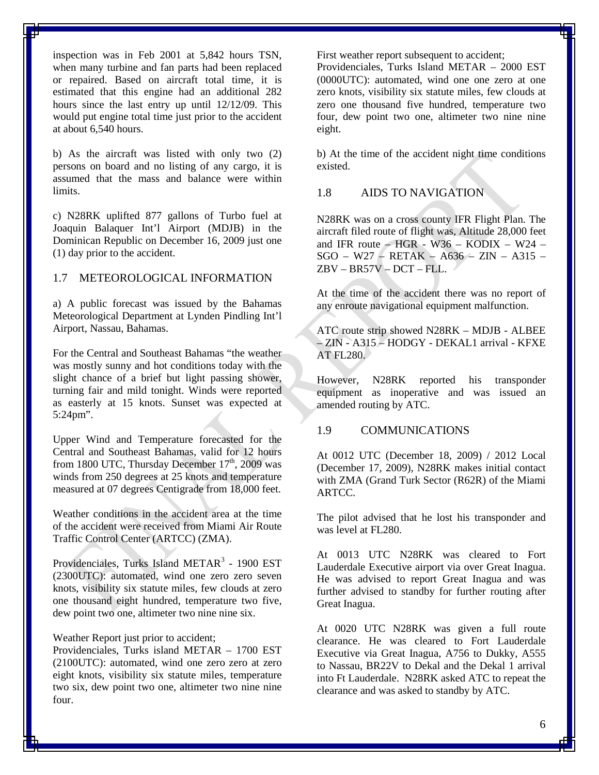inspection was in Feb 2001 at 5,842 hours TSN, when many turbine and fan parts had been replaced or repaired. Based on aircraft total time, it is estimated that this engine had an additional 282 hours since the last entry up until 12/12/09. This would put engine total time just prior to the accident at about 6,540 hours.

b) As the aircraft was listed with only two (2) persons on board and no listing of any cargo, it is assumed that the mass and balance were within limits.

c) N28RK uplifted 877 gallons of Turbo fuel at Joaquin Balaquer Int'l Airport (MDJB) in the Dominican Republic on December 16, 2009 just one (1) day prior to the accident.

#### <span id="page-12-0"></span>1.7 METEOROLOGICAL INFORMATION

a) A public forecast was issued by the Bahamas Meteorological Department at Lynden Pindling Int'l Airport, Nassau, Bahamas.

For the Central and Southeast Bahamas "the weather was mostly sunny and hot conditions today with the slight chance of a brief but light passing shower, turning fair and mild tonight. Winds were reported as easterly at 15 knots. Sunset was expected at 5:24pm".

Upper Wind and Temperature forecasted for the Central and Southeast Bahamas, valid for 12 hours from 1800 UTC, Thursday December  $17<sup>th</sup>$ , 2009 was winds from 250 degrees at 25 knots and temperature measured at 07 degrees Centigrade from 18,000 feet.

Weather conditions in the accident area at the time of the accident were received from Miami Air Route Traffic Control Center (ARTCC) (ZMA).

Providenciales, Turks Island METAR<sup>[3](#page-17-2)</sup> - 1900 EST (2300UTC): automated, wind one zero zero seven knots, visibility six statute miles, few clouds at zero one thousand eight hundred, temperature two five, dew point two one, altimeter two nine nine six.

Weather Report just prior to accident;

Providenciales, Turks island METAR – 1700 EST (2100UTC): automated, wind one zero zero at zero eight knots, visibility six statute miles, temperature two six, dew point two one, altimeter two nine nine four.

First weather report subsequent to accident; Providenciales, Turks Island METAR – 2000 EST (0000UTC): automated, wind one one zero at one zero knots, visibility six statute miles, few clouds at zero one thousand five hundred, temperature two four, dew point two one, altimeter two nine nine eight.

b) At the time of the accident night time conditions existed.

#### <span id="page-12-1"></span>1.8 AIDS TO NAVIGATION

N28RK was on a cross county IFR Flight Plan. The aircraft filed route of flight was, Altitude 28,000 feet and IFR route –  $HGR - W36 - KODIX - W24 -$ SGO – W27 – RETAK – A636 – ZIN – A315 – ZBV – BR57V – DCT – FLL.

At the time of the accident there was no report of any enroute navigational equipment malfunction.

ATC route strip showed N28RK – MDJB - ALBEE – ZIN - A315 – HODGY - DEKAL1 arrival - KFXE AT FL280.

However, N28RK reported his transponder equipment as inoperative and was issued an amended routing by ATC.

#### <span id="page-12-2"></span>1.9 COMMUNICATIONS

At 0012 UTC (December 18, 2009) / 2012 Local (December 17, 2009), N28RK makes initial contact with ZMA (Grand Turk Sector (R62R) of the Miami ARTCC.

The pilot advised that he lost his transponder and was level at FL280.

At 0013 UTC N28RK was cleared to Fort Lauderdale Executive airport via over Great Inagua. He was advised to report Great Inagua and was further advised to standby for further routing after Great Inagua.

At 0020 UTC N28RK was given a full route clearance. He was cleared to Fort Lauderdale Executive via Great Inagua, A756 to Dukky, A555 to Nassau, BR22V to Dekal and the Dekal 1 arrival into Ft Lauderdale. N28RK asked ATC to repeat the clearance and was asked to standby by ATC.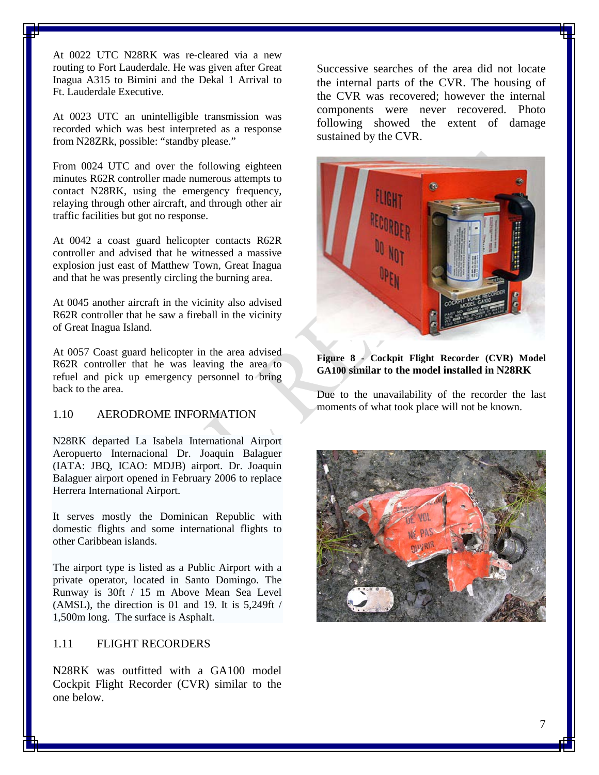At 0022 UTC N28RK was re-cleared via a new routing to Fort Lauderdale. He was given after Great Inagua A315 to Bimini and the Dekal 1 Arrival to Ft. Lauderdale Executive.

At 0023 UTC an unintelligible transmission was recorded which was best interpreted as a response from N28ZRk, possible: "standby please."

From 0024 UTC and over the following eighteen minutes R62R controller made numerous attempts to contact N28RK, using the emergency frequency, relaying through other aircraft, and through other air traffic facilities but got no response.

At 0042 a coast guard helicopter contacts R62R controller and advised that he witnessed a massive explosion just east of Matthew Town, Great Inagua and that he was presently circling the burning area.

At 0045 another aircraft in the vicinity also advised R62R controller that he saw a fireball in the vicinity of Great Inagua Island.

At 0057 Coast guard helicopter in the area advised R62R controller that he was leaving the area to refuel and pick up emergency personnel to bring back to the area.

#### <span id="page-13-0"></span>1.10 AERODROME INFORMATION

N28RK departed La Isabela International Airport Aeropuerto Internacional Dr. Joaquin Balaguer [\(IATA:](http://en.wikipedia.org/wiki/IATA) JBQ, [ICAO:](http://en.wikipedia.org/wiki/ICAO) MDJB) airport. Dr. Joaquin Balaguer airport opened in February 2006 to replace [Herrera International Airport.](http://en.wikipedia.org/wiki/Herrera_International_Airport)

It serves mostly the [Dominican Republic](http://en.wikipedia.org/wiki/Dominican_Republic) with domestic flights and some international flights to other [Caribbean islands.](http://en.wikipedia.org/wiki/Caribbean)

The airport type is listed as a Public Airport with a private operator, located in Santo Domingo. The Runway is 30ft / 15 m Above Mean Sea Level (AMSL), the direction is 01 and 19. It is 5,249ft / 1,500m long. The surface is Asphalt.

#### <span id="page-13-1"></span>1.11 FLIGHT RECORDERS

N28RK was outfitted with a GA100 model Cockpit Flight Recorder (CVR) similar to the one below.

Successive searches of the area did not locate the internal parts of the CVR. The housing of the CVR was recovered; however the internal components were never recovered. Photo following showed the extent of damage sustained by the CVR.



**Figure 8 - Cockpit Flight Recorder (CVR) Model GA100 similar to the model installed in N28RK**

Due to the unavailability of the recorder the last moments of what took place will not be known.

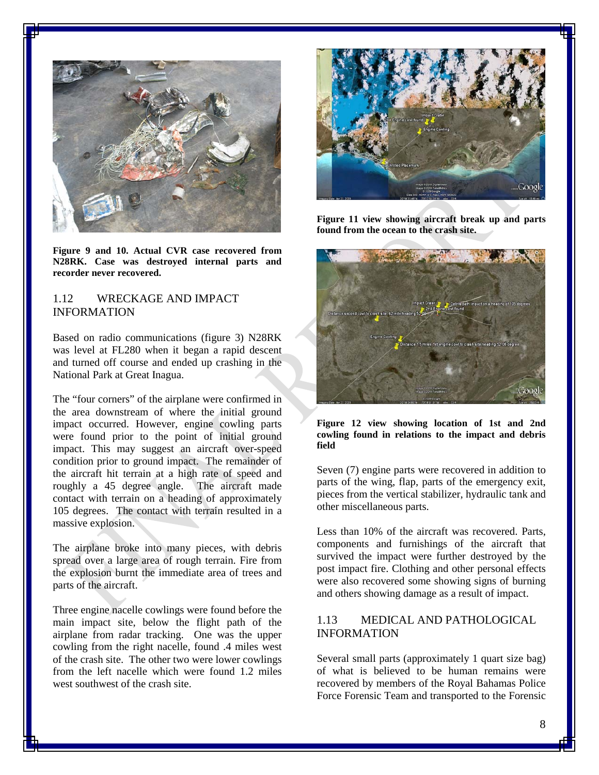

**Figure 9 and 10. Actual CVR case recovered from N28RK. Case was destroyed internal parts and recorder never recovered.**

#### <span id="page-14-0"></span>1.12 WRECKAGE AND IMPACT INFORMATION

Based on radio communications (figure 3) N28RK was level at FL280 when it began a rapid descent and turned off course and ended up crashing in the National Park at Great Inagua.

The "four corners" of the airplane were confirmed in the area downstream of where the initial ground impact occurred. However, engine cowling parts were found prior to the point of initial ground impact. This may suggest an aircraft over-speed condition prior to ground impact. The remainder of the aircraft hit terrain at a high rate of speed and roughly a 45 degree angle. The aircraft made contact with terrain on a heading of approximately 105 degrees. The contact with terrain resulted in a massive explosion.

The airplane broke into many pieces, with debris spread over a large area of rough terrain. Fire from the explosion burnt the immediate area of trees and parts of the aircraft.

Three engine nacelle cowlings were found before the main impact site, below the flight path of the airplane from radar tracking. One was the upper cowling from the right nacelle, found .4 miles west of the crash site. The other two were lower cowlings from the left nacelle which were found 1.2 miles west southwest of the crash site.



**Figure 11 view showing aircraft break up and parts found from the ocean to the crash site.**



**Figure 12 view showing location of 1st and 2nd cowling found in relations to the impact and debris field**

Seven (7) engine parts were recovered in addition to parts of the wing, flap, parts of the emergency exit, pieces from the vertical stabilizer, hydraulic tank and other miscellaneous parts.

Less than 10% of the aircraft was recovered. Parts, components and furnishings of the aircraft that survived the impact were further destroyed by the post impact fire. Clothing and other personal effects were also recovered some showing signs of burning and others showing damage as a result of impact.

#### <span id="page-14-1"></span>1.13 MEDICAL AND PATHOLOGICAL INFORMATION

Several small parts (approximately 1 quart size bag) of what is believed to be human remains were recovered by members of the Royal Bahamas Police Force Forensic Team and transported to the Forensic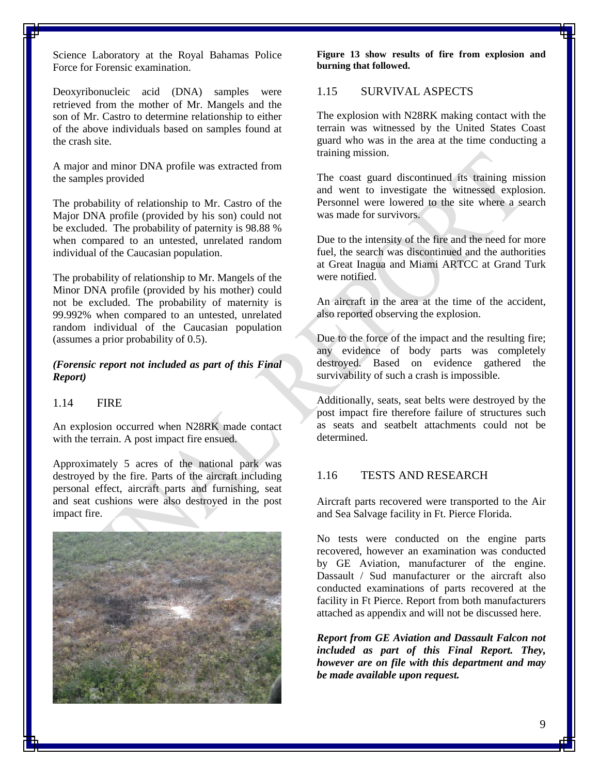Science Laboratory at the Royal Bahamas Police Force for Forensic examination.

Deoxyribonucleic acid (DNA) samples were retrieved from the mother of Mr. Mangels and the son of Mr. Castro to determine relationship to either of the above individuals based on samples found at the crash site.

A major and minor DNA profile was extracted from the samples provided

The probability of relationship to Mr. Castro of the Major DNA profile (provided by his son) could not be excluded. The probability of paternity is 98.88 % when compared to an untested, unrelated random individual of the Caucasian population.

The probability of relationship to Mr. Mangels of the Minor DNA profile (provided by his mother) could not be excluded. The probability of maternity is 99.992% when compared to an untested, unrelated random individual of the Caucasian population (assumes a prior probability of 0.5).

#### *(Forensic report not included as part of this Final Report)*

#### <span id="page-15-0"></span>1.14 FIRE

An explosion occurred when N28RK made contact with the terrain. A post impact fire ensued.

Approximately 5 acres of the national park was destroyed by the fire. Parts of the aircraft including personal effect, aircraft parts and furnishing, seat and seat cushions were also destroyed in the post impact fire.



**Figure 13 show results of fire from explosion and burning that followed.**

#### <span id="page-15-1"></span>1.15 SURVIVAL ASPECTS

The explosion with N28RK making contact with the terrain was witnessed by the United States Coast guard who was in the area at the time conducting a training mission.

The coast guard discontinued its training mission and went to investigate the witnessed explosion. Personnel were lowered to the site where a search was made for survivors.

Due to the intensity of the fire and the need for more fuel, the search was discontinued and the authorities at Great Inagua and Miami ARTCC at Grand Turk were notified.

An aircraft in the area at the time of the accident, also reported observing the explosion.

Due to the force of the impact and the resulting fire; any evidence of body parts was completely destroyed. Based on evidence gathered the survivability of such a crash is impossible.

Additionally, seats, seat belts were destroyed by the post impact fire therefore failure of structures such as seats and seatbelt attachments could not be determined.

#### <span id="page-15-2"></span>1.16 TESTS AND RESEARCH

Aircraft parts recovered were transported to the Air and Sea Salvage facility in Ft. Pierce Florida.

No tests were conducted on the engine parts recovered, however an examination was conducted by GE Aviation, manufacturer of the engine. Dassault / Sud manufacturer or the aircraft also conducted examinations of parts recovered at the facility in Ft Pierce. Report from both manufacturers attached as appendix and will not be discussed here.

*Report from GE Aviation and Dassault Falcon not included as part of this Final Report. They, however are on file with this department and may be made available upon request.*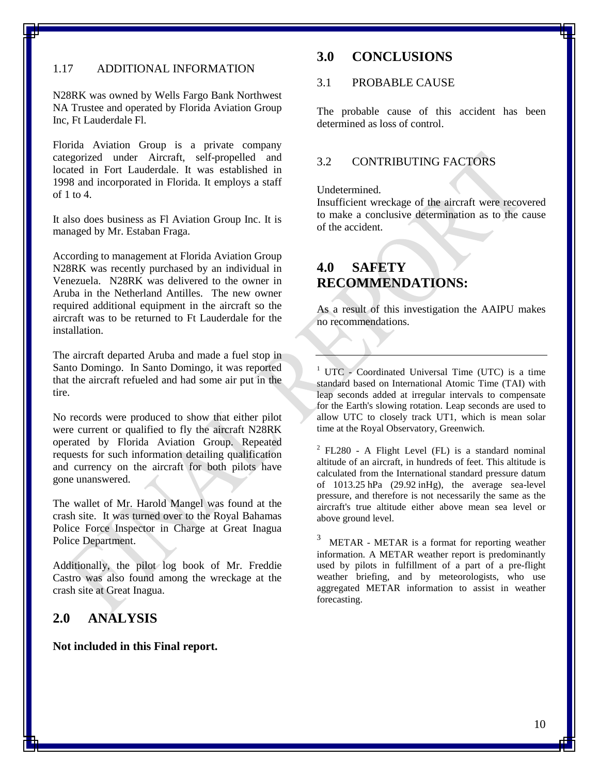#### <span id="page-16-0"></span>1.17 ADDITIONAL INFORMATION

N28RK was owned by Wells Fargo Bank Northwest NA Trustee and operated by Florida Aviation Group Inc, Ft Lauderdale Fl.

Florida Aviation Group is a private company categorized under Aircraft, self-propelled and located in Fort Lauderdale. It was established in 1998 and incorporated in Florida. It employs a staff of 1 to 4.

It also does business as Fl Aviation Group Inc. It is managed by Mr. Estaban Fraga.

According to management at Florida Aviation Group N28RK was recently purchased by an individual in Venezuela. N28RK was delivered to the owner in Aruba in the Netherland Antilles. The new owner required additional equipment in the aircraft so the aircraft was to be returned to Ft Lauderdale for the installation.

The aircraft departed Aruba and made a fuel stop in Santo Domingo. In Santo Domingo, it was reported that the aircraft refueled and had some air put in the tire.

No records were produced to show that either pilot were current or qualified to fly the aircraft N28RK operated by Florida Aviation Group. Repeated requests for such information detailing qualification and currency on the aircraft for both pilots have gone unanswered.

The wallet of Mr. Harold Mangel was found at the crash site. It was turned over to the Royal Bahamas Police Force Inspector in Charge at Great Inagua Police Department.

Additionally, the pilot log book of Mr. Freddie Castro was also found among the wreckage at the crash site at Great Inagua.

#### <span id="page-16-1"></span>**2.0 ANALYSIS**

**Not included in this Final report.**

### <span id="page-16-2"></span>**3.0 CONCLUSIONS**

#### 3.1 PROBABLE CAUSE

The probable cause of this accident has been determined as loss of control.

#### 3.2 CONTRIBUTING FACTORS

#### Undetermined.

Insufficient wreckage of the aircraft were recovered to make a conclusive determination as to the cause of the accident.

## <span id="page-16-3"></span>**4.0 SAFETY RECOMMENDATIONS:**

As a result of this investigation the AAIPU makes no recommendations.

 $1$  UTC - Coordinated Universal Time (UTC) is a time [standard](http://en.wikipedia.org/wiki/Time_standard) based on [International Atomic Time](http://en.wikipedia.org/wiki/International_Atomic_Time) (TAI) with [leap seconds](http://en.wikipedia.org/wiki/Leap_second) added at irregular intervals to compensate for the [Earth's](http://en.wikipedia.org/wiki/Earth) slowing [rotation.](http://en.wikipedia.org/wiki/Earth%27s_rotation) Leap seconds are used to allow UTC to closely track [UT1,](http://en.wikipedia.org/wiki/UT1) which is mean solar time at th[e Royal Observatory, Greenwich.](http://en.wikipedia.org/wiki/Royal_Observatory,_Greenwich)

 $2$  FL280 - A Flight Level (FL) is a standard nominal [altitude](http://en.wikipedia.org/wiki/Altitude) of an [aircraft,](http://en.wikipedia.org/wiki/Aircraft) in hundreds of [feet.](http://en.wikipedia.org/wiki/Foot_(length)) This altitude is calculated from the [International standard](http://en.wikipedia.org/wiki/International_Standard_Atmosphere) pressure datum of 1013.25 [hPa](http://en.wikipedia.org/wiki/Pascal_(unit)) (29.92 [inHg\)](http://en.wikipedia.org/wiki/Inch_of_mercury), the average sea-level pressure, and therefore is not necessarily the same as the aircraft's true altitude either [above mean sea level](http://en.wikipedia.org/wiki/Above_mean_sea_level) or [above ground level.](http://en.wikipedia.org/wiki/Above_ground_level)

 $3$  METAR - METAR is a format for reporting [weather](http://en.wikipedia.org/wiki/Weather) information. A METAR weather report is predominantly used by [pilots](http://en.wikipedia.org/wiki/Aviator) in fulfillment of a part of a pre-flight weather briefing, and by [meteorologists,](http://en.wikipedia.org/wiki/Meteorology) who use aggregated METAR information to assist in [weather](http://en.wikipedia.org/wiki/Weather_forecasting)  [forecasting.](http://en.wikipedia.org/wiki/Weather_forecasting)